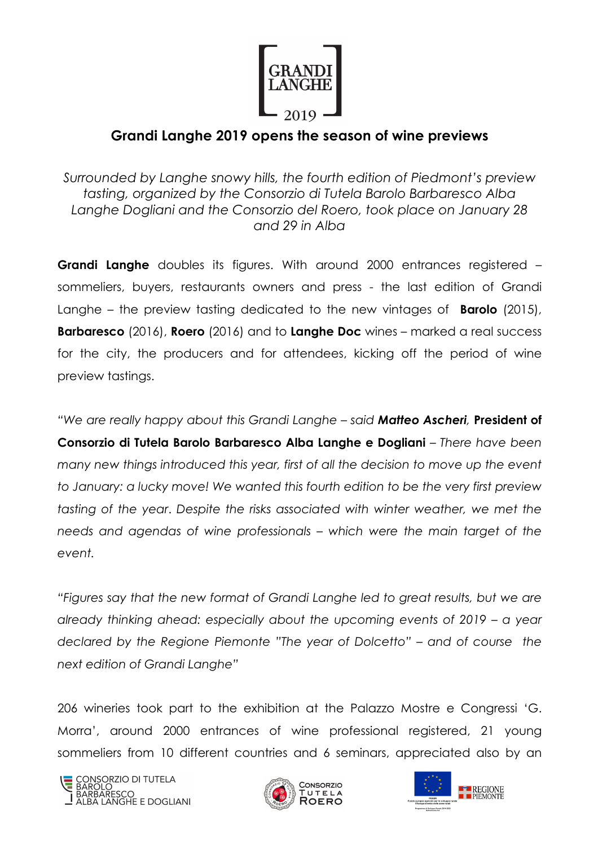

## **Grandi Langhe 2019 opens the season of wine previews**

*Surrounded by Langhe snowy hills, the fourth edition of Piedmont's preview tasting, organized by the Consorzio di Tutela Barolo Barbaresco Alba Langhe Dogliani and the Consorzio del Roero, took place on January 28 and 29 in Alba*

**Grandi Langhe** doubles its figures. With around 2000 entrances registered – sommeliers, buyers, restaurants owners and press - the last edition of Grandi Langhe – the preview tasting dedicated to the new vintages of **Barolo** (2015), **Barbaresco** (2016), **Roero** (2016) and to **Langhe Doc** wines – marked a real success for the city, the producers and for attendees, kicking off the period of wine preview tastings.

*"We are really happy about this Grandi Langhe – said Matteo Ascheri,* **President of Consorzio di Tutela Barolo Barbaresco Alba Langhe e Dogliani – There have been** *many new things introduced this year, first of all the decision to move up the event to January: a lucky move! We wanted this fourth edition to be the very first preview tasting of the year*. *Despite the risks associated with winter weather, we met the needs and agendas of wine professionals – which were the main target of the event.* 

*"Figures say that the new format of Grandi Langhe led to great results, but we are already thinking ahead: especially about the upcoming events of 2019 – a year declared by the Regione Piemonte "The year of Dolcetto" – and of course the next edition of Grandi Langhe"*

206 wineries took part to the exhibition at the Palazzo Mostre e Congressi 'G. Morra', around 2000 entrances of wine professional registered, 21 young sommeliers from 10 different countries and 6 seminars, appreciated also by an